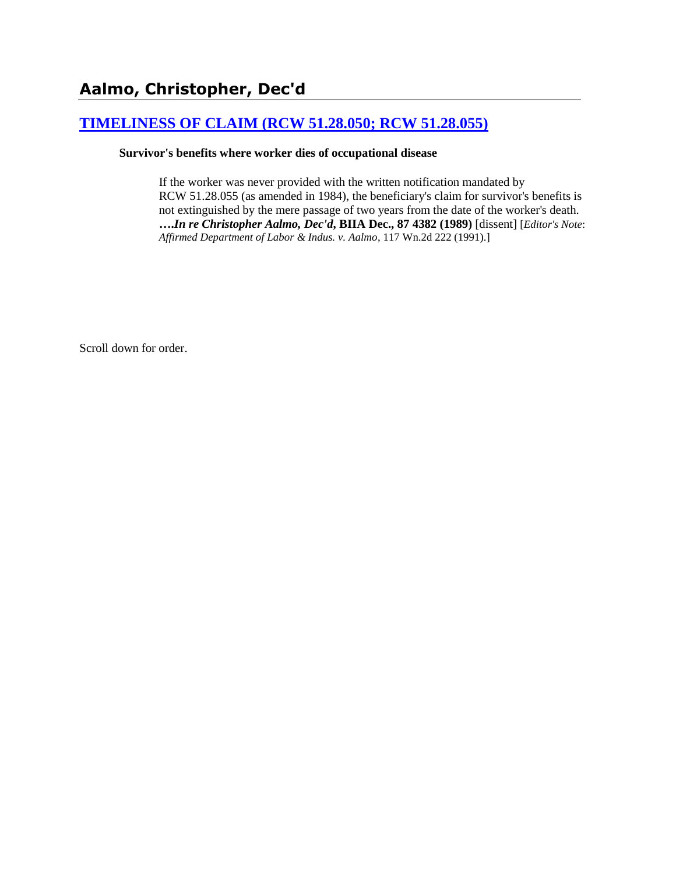# **[TIMELINESS OF CLAIM \(RCW 51.28.050; RCW 51.28.055\)](http://www.biia.wa.gov/SDSubjectIndex.html#TIMELINESS_OF_CLAIM)**

#### **Survivor's benefits where worker dies of occupational disease**

If the worker was never provided with the written notification mandated by RCW 51.28.055 (as amended in 1984), the beneficiary's claim for survivor's benefits is not extinguished by the mere passage of two years from the date of the worker's death. **….***In re Christopher Aalmo, Dec'd***, BIIA Dec., 87 4382 (1989)** [dissent] [*Editor's Note*: *Affirmed Department of Labor & Indus. v. Aalmo*, 117 Wn.2d 222 (1991).]

Scroll down for order.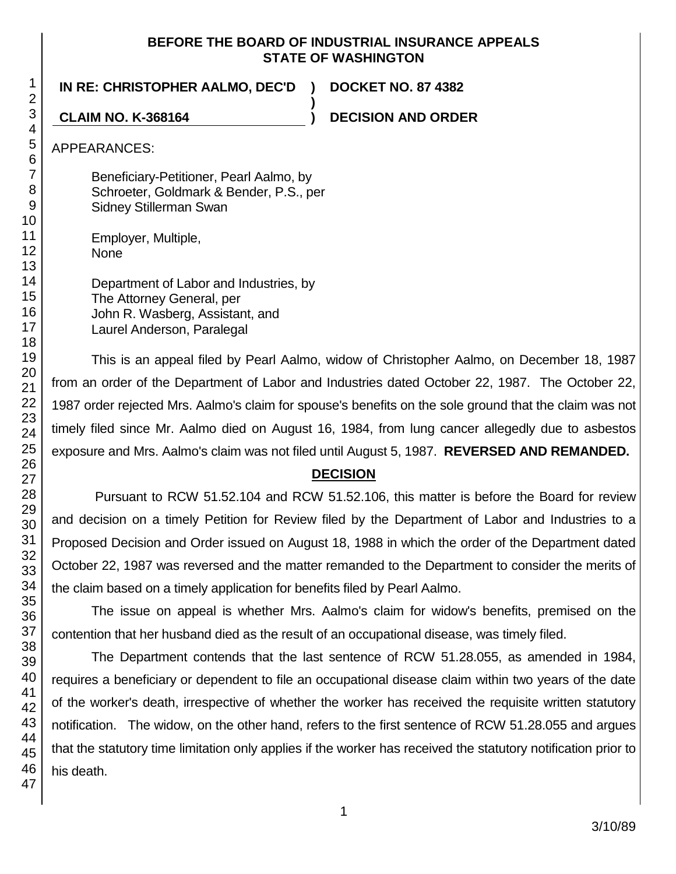### **BEFORE THE BOARD OF INDUSTRIAL INSURANCE APPEALS STATE OF WASHINGTON**

**)**

**IN RE: CHRISTOPHER AALMO, DEC'D ) DOCKET NO. 87 4382**

**CLAIM NO. K-368164 ) DECISION AND ORDER**

APPEARANCES:

Beneficiary-Petitioner, Pearl Aalmo, by Schroeter, Goldmark & Bender, P.S., per Sidney Stillerman Swan

Employer, Multiple, None

Department of Labor and Industries, by The Attorney General, per John R. Wasberg, Assistant, and Laurel Anderson, Paralegal

This is an appeal filed by Pearl Aalmo, widow of Christopher Aalmo, on December 18, 1987 from an order of the Department of Labor and Industries dated October 22, 1987. The October 22, 1987 order rejected Mrs. Aalmo's claim for spouse's benefits on the sole ground that the claim was not timely filed since Mr. Aalmo died on August 16, 1984, from lung cancer allegedly due to asbestos exposure and Mrs. Aalmo's claim was not filed until August 5, 1987. **REVERSED AND REMANDED.**

## **DECISION**

Pursuant to RCW 51.52.104 and RCW 51.52.106, this matter is before the Board for review and decision on a timely Petition for Review filed by the Department of Labor and Industries to a Proposed Decision and Order issued on August 18, 1988 in which the order of the Department dated October 22, 1987 was reversed and the matter remanded to the Department to consider the merits of the claim based on a timely application for benefits filed by Pearl Aalmo.

The issue on appeal is whether Mrs. Aalmo's claim for widow's benefits, premised on the contention that her husband died as the result of an occupational disease, was timely filed.

The Department contends that the last sentence of RCW 51.28.055, as amended in 1984, requires a beneficiary or dependent to file an occupational disease claim within two years of the date of the worker's death, irrespective of whether the worker has received the requisite written statutory notification. The widow, on the other hand, refers to the first sentence of RCW 51.28.055 and argues that the statutory time limitation only applies if the worker has received the statutory notification prior to his death.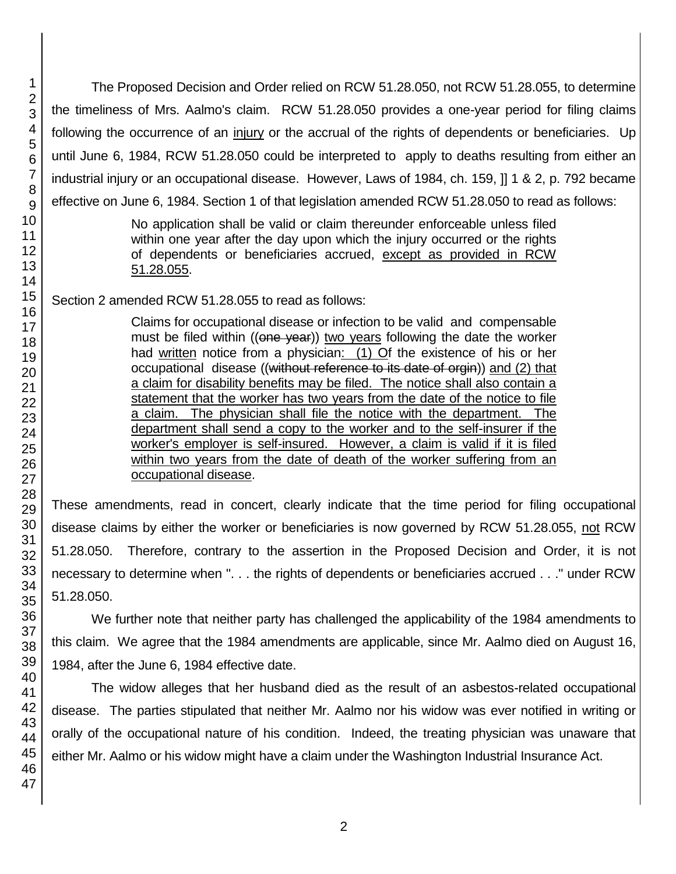The Proposed Decision and Order relied on RCW 51.28.050, not RCW 51.28.055, to determine the timeliness of Mrs. Aalmo's claim. RCW 51.28.050 provides a one-year period for filing claims following the occurrence of an injury or the accrual of the rights of dependents or beneficiaries. Up until June 6, 1984, RCW 51.28.050 could be interpreted to apply to deaths resulting from either an industrial injury or an occupational disease. However, Laws of 1984, ch. 159, ]] 1 & 2, p. 792 became effective on June 6, 1984. Section 1 of that legislation amended RCW 51.28.050 to read as follows:

> No application shall be valid or claim thereunder enforceable unless filed within one year after the day upon which the injury occurred or the rights of dependents or beneficiaries accrued, except as provided in RCW 51.28.055.

Section 2 amended RCW 51.28.055 to read as follows:

Claims for occupational disease or infection to be valid and compensable must be filed within ((one year)) two years following the date the worker had written notice from a physician: (1) Of the existence of his or her occupational disease ((without reference to its date of orgin)) and (2) that a claim for disability benefits may be filed. The notice shall also contain a statement that the worker has two years from the date of the notice to file a claim. The physician shall file the notice with the department. The department shall send a copy to the worker and to the self-insurer if the worker's employer is self-insured. However, a claim is valid if it is filed within two years from the date of death of the worker suffering from an occupational disease.

These amendments, read in concert, clearly indicate that the time period for filing occupational disease claims by either the worker or beneficiaries is now governed by RCW 51.28.055, not RCW 51.28.050. Therefore, contrary to the assertion in the Proposed Decision and Order, it is not necessary to determine when ". . . the rights of dependents or beneficiaries accrued . . ." under RCW 51.28.050.

We further note that neither party has challenged the applicability of the 1984 amendments to this claim. We agree that the 1984 amendments are applicable, since Mr. Aalmo died on August 16, 1984, after the June 6, 1984 effective date.

The widow alleges that her husband died as the result of an asbestos-related occupational disease. The parties stipulated that neither Mr. Aalmo nor his widow was ever notified in writing or orally of the occupational nature of his condition. Indeed, the treating physician was unaware that either Mr. Aalmo or his widow might have a claim under the Washington Industrial Insurance Act.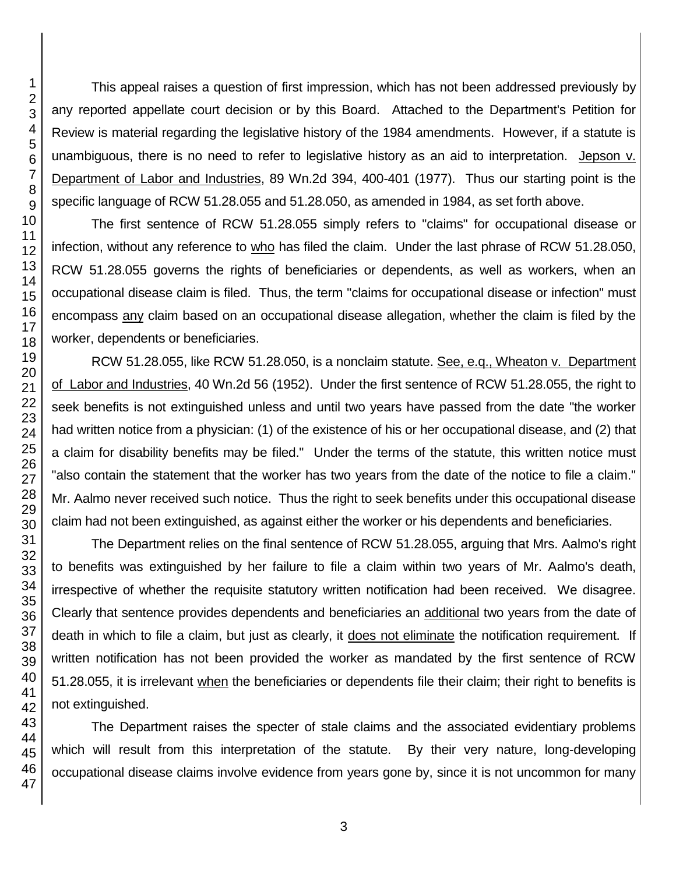This appeal raises a question of first impression, which has not been addressed previously by any reported appellate court decision or by this Board. Attached to the Department's Petition for Review is material regarding the legislative history of the 1984 amendments. However, if a statute is unambiguous, there is no need to refer to legislative history as an aid to interpretation. Jepson v. Department of Labor and Industries, 89 Wn.2d 394, 400-401 (1977). Thus our starting point is the specific language of RCW 51.28.055 and 51.28.050, as amended in 1984, as set forth above.

The first sentence of RCW 51.28.055 simply refers to "claims" for occupational disease or infection, without any reference to who has filed the claim. Under the last phrase of RCW 51.28.050, RCW 51.28.055 governs the rights of beneficiaries or dependents, as well as workers, when an occupational disease claim is filed. Thus, the term "claims for occupational disease or infection" must encompass any claim based on an occupational disease allegation, whether the claim is filed by the worker, dependents or beneficiaries.

RCW 51.28.055, like RCW 51.28.050, is a nonclaim statute. See, e.q., Wheaton v. Department of Labor and Industries, 40 Wn.2d 56 (1952). Under the first sentence of RCW 51.28.055, the right to seek benefits is not extinguished unless and until two years have passed from the date "the worker had written notice from a physician: (1) of the existence of his or her occupational disease, and (2) that a claim for disability benefits may be filed." Under the terms of the statute, this written notice must "also contain the statement that the worker has two years from the date of the notice to file a claim." Mr. Aalmo never received such notice. Thus the right to seek benefits under this occupational disease claim had not been extinguished, as against either the worker or his dependents and beneficiaries.

The Department relies on the final sentence of RCW 51.28.055, arguing that Mrs. Aalmo's right to benefits was extinguished by her failure to file a claim within two years of Mr. Aalmo's death, irrespective of whether the requisite statutory written notification had been received. We disagree. Clearly that sentence provides dependents and beneficiaries an additional two years from the date of death in which to file a claim, but just as clearly, it does not eliminate the notification requirement. If written notification has not been provided the worker as mandated by the first sentence of RCW 51.28.055, it is irrelevant when the beneficiaries or dependents file their claim; their right to benefits is not extinguished.

The Department raises the specter of stale claims and the associated evidentiary problems which will result from this interpretation of the statute. By their very nature, long-developing occupational disease claims involve evidence from years gone by, since it is not uncommon for many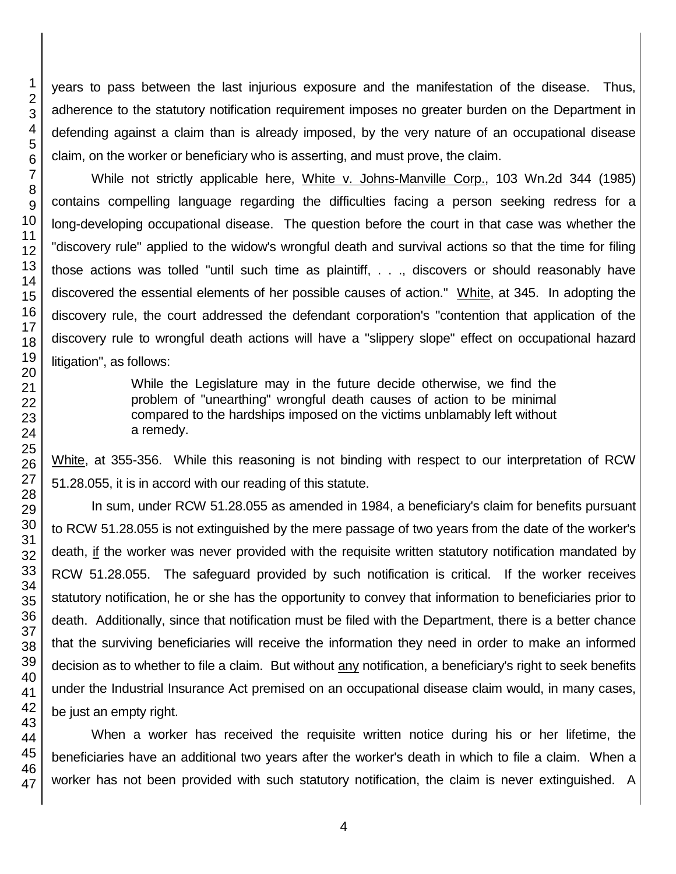years to pass between the last injurious exposure and the manifestation of the disease. Thus, adherence to the statutory notification requirement imposes no greater burden on the Department in defending against a claim than is already imposed, by the very nature of an occupational disease claim, on the worker or beneficiary who is asserting, and must prove, the claim.

While not strictly applicable here, White v. Johns-Manville Corp., 103 Wn.2d 344 (1985) contains compelling language regarding the difficulties facing a person seeking redress for a long-developing occupational disease. The question before the court in that case was whether the "discovery rule" applied to the widow's wrongful death and survival actions so that the time for filing those actions was tolled "until such time as plaintiff, . . ., discovers or should reasonably have discovered the essential elements of her possible causes of action." White, at 345. In adopting the discovery rule, the court addressed the defendant corporation's "contention that application of the discovery rule to wrongful death actions will have a "slippery slope" effect on occupational hazard litigation", as follows:

> While the Legislature may in the future decide otherwise, we find the problem of "unearthing" wrongful death causes of action to be minimal compared to the hardships imposed on the victims unblamably left without a remedy.

White, at 355-356. While this reasoning is not binding with respect to our interpretation of RCW 51.28.055, it is in accord with our reading of this statute.

In sum, under RCW 51.28.055 as amended in 1984, a beneficiary's claim for benefits pursuant to RCW 51.28.055 is not extinguished by the mere passage of two years from the date of the worker's death, if the worker was never provided with the requisite written statutory notification mandated by RCW 51.28.055. The safeguard provided by such notification is critical. If the worker receives statutory notification, he or she has the opportunity to convey that information to beneficiaries prior to death. Additionally, since that notification must be filed with the Department, there is a better chance that the surviving beneficiaries will receive the information they need in order to make an informed decision as to whether to file a claim. But without any notification, a beneficiary's right to seek benefits under the Industrial Insurance Act premised on an occupational disease claim would, in many cases, be just an empty right.

When a worker has received the requisite written notice during his or her lifetime, the beneficiaries have an additional two years after the worker's death in which to file a claim. When a worker has not been provided with such statutory notification, the claim is never extinguished. A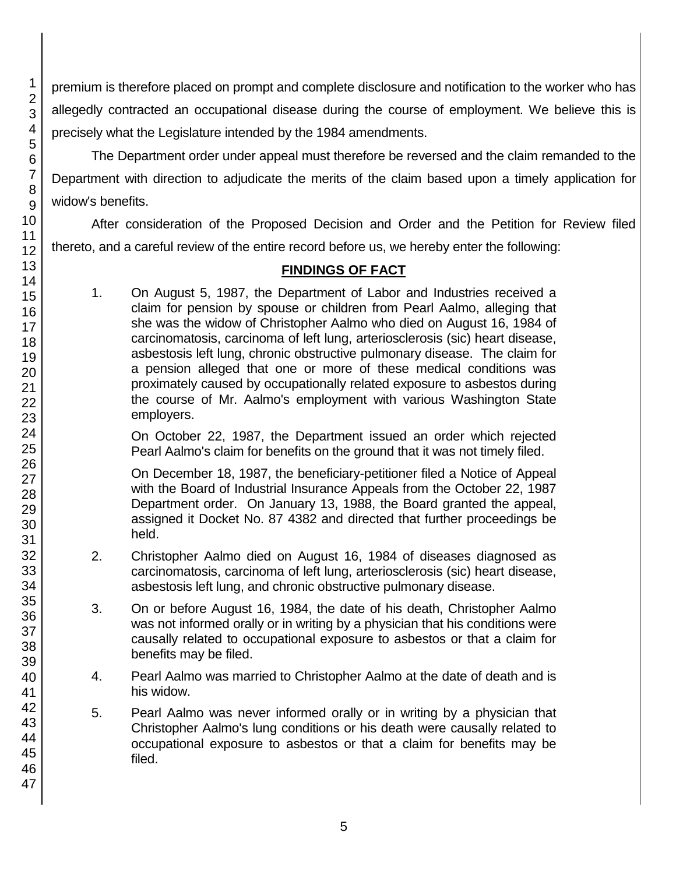premium is therefore placed on prompt and complete disclosure and notification to the worker who has allegedly contracted an occupational disease during the course of employment. We believe this is precisely what the Legislature intended by the 1984 amendments.

The Department order under appeal must therefore be reversed and the claim remanded to the Department with direction to adjudicate the merits of the claim based upon a timely application for widow's benefits.

After consideration of the Proposed Decision and Order and the Petition for Review filed thereto, and a careful review of the entire record before us, we hereby enter the following:

# **FINDINGS OF FACT**

1. On August 5, 1987, the Department of Labor and Industries received a claim for pension by spouse or children from Pearl Aalmo, alleging that she was the widow of Christopher Aalmo who died on August 16, 1984 of carcinomatosis, carcinoma of left lung, arteriosclerosis (sic) heart disease, asbestosis left lung, chronic obstructive pulmonary disease. The claim for a pension alleged that one or more of these medical conditions was proximately caused by occupationally related exposure to asbestos during the course of Mr. Aalmo's employment with various Washington State employers.

On October 22, 1987, the Department issued an order which rejected Pearl Aalmo's claim for benefits on the ground that it was not timely filed.

On December 18, 1987, the beneficiary-petitioner filed a Notice of Appeal with the Board of Industrial Insurance Appeals from the October 22, 1987 Department order. On January 13, 1988, the Board granted the appeal, assigned it Docket No. 87 4382 and directed that further proceedings be held.

- 2. Christopher Aalmo died on August 16, 1984 of diseases diagnosed as carcinomatosis, carcinoma of left lung, arteriosclerosis (sic) heart disease, asbestosis left lung, and chronic obstructive pulmonary disease.
- 3. On or before August 16, 1984, the date of his death, Christopher Aalmo was not informed orally or in writing by a physician that his conditions were causally related to occupational exposure to asbestos or that a claim for benefits may be filed.
- 4. Pearl Aalmo was married to Christopher Aalmo at the date of death and is his widow.
- 5. Pearl Aalmo was never informed orally or in writing by a physician that Christopher Aalmo's lung conditions or his death were causally related to occupational exposure to asbestos or that a claim for benefits may be filed.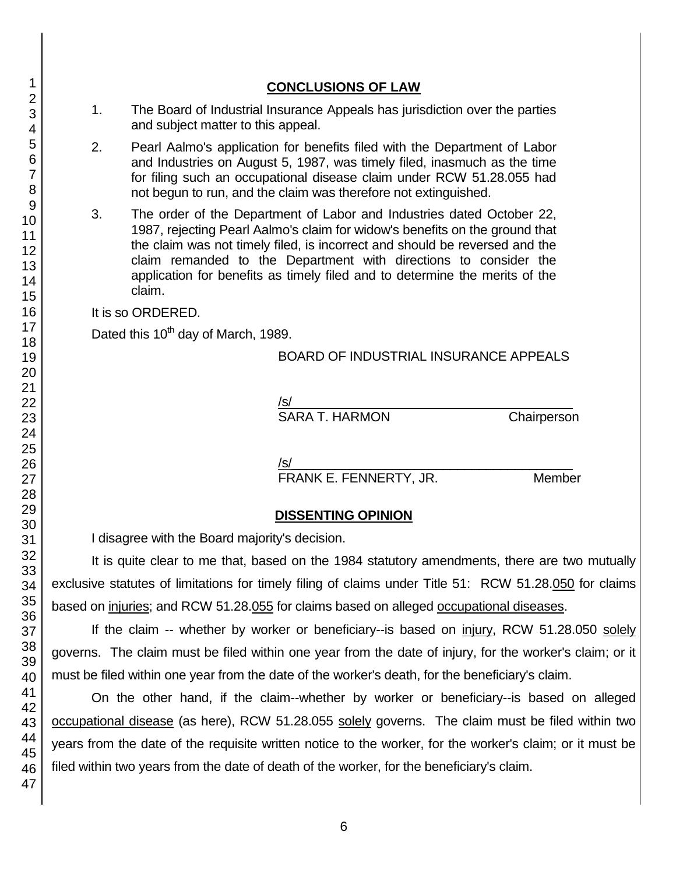## **CONCLUSIONS OF LAW**

- 1. The Board of Industrial Insurance Appeals has jurisdiction over the parties and subject matter to this appeal.
- 2. Pearl Aalmo's application for benefits filed with the Department of Labor and Industries on August 5, 1987, was timely filed, inasmuch as the time for filing such an occupational disease claim under RCW 51.28.055 had not begun to run, and the claim was therefore not extinguished.
- 3. The order of the Department of Labor and Industries dated October 22, 1987, rejecting Pearl Aalmo's claim for widow's benefits on the ground that the claim was not timely filed, is incorrect and should be reversed and the claim remanded to the Department with directions to consider the application for benefits as timely filed and to determine the merits of the claim.

It is so ORDERED.

Dated this 10<sup>th</sup> day of March, 1989.

#### BOARD OF INDUSTRIAL INSURANCE APPEALS

/s/  $\,$ 

SARA T. HARMON Chairperson

/s/\_\_\_\_\_\_\_\_\_\_\_\_\_\_\_\_\_\_\_\_\_\_\_\_\_\_\_\_\_\_\_\_\_\_\_\_\_\_\_

FRANK E. FENNERTY, JR. Member

## **DISSENTING OPINION**

I disagree with the Board majority's decision.

It is quite clear to me that, based on the 1984 statutory amendments, there are two mutually exclusive statutes of limitations for timely filing of claims under Title 51: RCW 51.28.050 for claims based on injuries; and RCW 51.28.055 for claims based on alleged occupational diseases.

If the claim -- whether by worker or beneficiary--is based on injury, RCW 51.28.050 solely governs. The claim must be filed within one year from the date of injury, for the worker's claim; or it must be filed within one year from the date of the worker's death, for the beneficiary's claim.

On the other hand, if the claim--whether by worker or beneficiary--is based on alleged occupational disease (as here), RCW 51.28.055 solely governs. The claim must be filed within two years from the date of the requisite written notice to the worker, for the worker's claim; or it must be filed within two years from the date of death of the worker, for the beneficiary's claim.